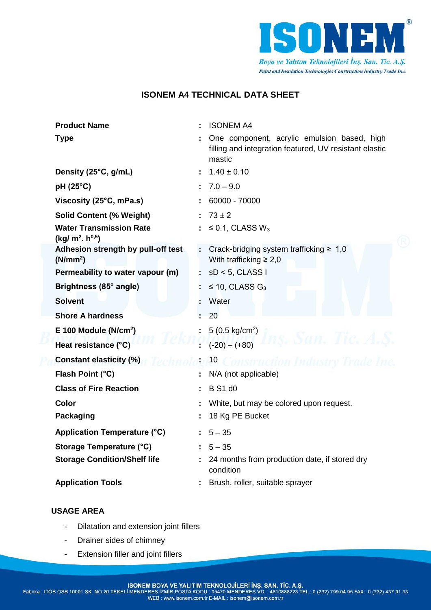

# **ISONEM A4 TECHNICAL DATA SHEET**

| <b>Product Name</b>                                                     | <b>ISONEM A4</b>                                                                                                |
|-------------------------------------------------------------------------|-----------------------------------------------------------------------------------------------------------------|
| <b>Type</b>                                                             | One component, acrylic emulsion based, high<br>filling and integration featured, UV resistant elastic<br>mastic |
| Density (25°C, g/mL)                                                    | $1.40 \pm 0.10$                                                                                                 |
| pH (25°C)                                                               | $7.0 - 9.0$                                                                                                     |
| Viscosity (25°C, mPa.s)                                                 | 60000 - 70000                                                                                                   |
| <b>Solid Content (% Weight)</b>                                         | $73 \pm 2$                                                                                                      |
| <b>Water Transmission Rate</b><br>(kg/m <sup>2</sup> h <sup>0,5</sup> ) | $\leq$ 0.1, CLASS W <sub>3</sub>                                                                                |
| Adhesion strength by pull-off test<br>(N/mm <sup>2</sup> )              | Crack-bridging system trafficking $\geq 1,0$<br>With trafficking $\geq 2.0$                                     |
| Permeability to water vapour (m)                                        | $sD < 5$ , CLASS I                                                                                              |
| Brightness (85° angle)                                                  | $\leq$ 10, CLASS G <sub>3</sub>                                                                                 |
| <b>Solvent</b>                                                          | Water                                                                                                           |
| <b>Shore A hardness</b>                                                 | 20                                                                                                              |
| $E$ 100 Module (N/cm <sup>2</sup> )                                     | $5(0.5 \text{ kg/cm}^2)$                                                                                        |
| Heat resistance (°C)                                                    | ns. San. Tic. A.S.<br>$(-20) - (+80)$                                                                           |
| <b>Constant elasticity (%)</b>                                          | 10<br><b>Construction Industry Trade Inc.</b>                                                                   |
| Flash Point (°C)                                                        | N/A (not applicable)                                                                                            |
| <b>Class of Fire Reaction</b>                                           | <b>B</b> S <sub>1</sub> d <sub>0</sub>                                                                          |
| <b>Color</b>                                                            | White, but may be colored upon request.                                                                         |
| <b>Packaging</b>                                                        | 18 Kg PE Bucket                                                                                                 |
| Application Temperature (°C)                                            | $5 - 35$                                                                                                        |
| <b>Storage Temperature (°C)</b>                                         | $5 - 35$                                                                                                        |
| <b>Storage Condition/Shelf life</b>                                     | 24 months from production date, if stored dry<br>condition                                                      |
| <b>Application Tools</b>                                                | Brush, roller, suitable sprayer                                                                                 |

## **USAGE AREA**

- Dilatation and extension joint fillers
- Drainer sides of chimney
- Extension filler and joint fillers

ISONEM BOYA VE YALITIM TEKNOLOJİLERİ İNŞ. SAN. TİC. A.Ş.<br>Fabrika : ITOB OSB 10001 SK. NO:20 TEKELI MENDERES İZMİR POSTA KODU : 35470 MENDERES VD. : 4810888223 TEL : 0 (232) 799 04 95 FAX : 0 (232) 437 01 33<br>WEB : www.isone